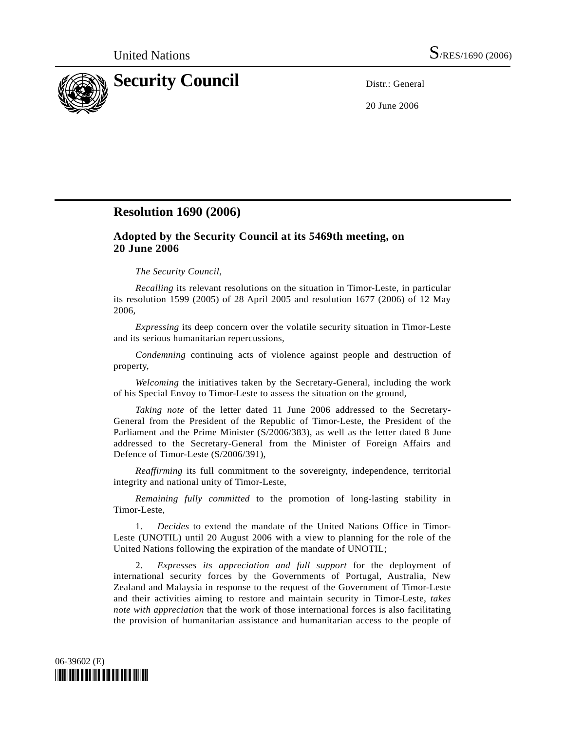

20 June 2006

## **Resolution 1690 (2006)**

## **Adopted by the Security Council at its 5469th meeting, on 20 June 2006**

## *The Security Council*,

 *Recalling* its relevant resolutions on the situation in Timor-Leste, in particular its resolution 1599 (2005) of 28 April 2005 and resolution 1677 (2006) of 12 May 2006,

 *Expressing* its deep concern over the volatile security situation in Timor-Leste and its serious humanitarian repercussions,

 *Condemning* continuing acts of violence against people and destruction of property,

 *Welcoming* the initiatives taken by the Secretary-General, including the work of his Special Envoy to Timor-Leste to assess the situation on the ground,

 *Taking note* of the letter dated 11 June 2006 addressed to the Secretary-General from the President of the Republic of Timor-Leste, the President of the Parliament and the Prime Minister (S/2006/383), as well as the letter dated 8 June addressed to the Secretary-General from the Minister of Foreign Affairs and Defence of Timor-Leste (S/2006/391),

*Reaffirming* its full commitment to the sovereignty, independence, territorial integrity and national unity of Timor-Leste,

 *Remaining fully committed* to the promotion of long-lasting stability in Timor-Leste,

1. *Decides* to extend the mandate of the United Nations Office in Timor-Leste (UNOTIL) until 20 August 2006 with a view to planning for the role of the United Nations following the expiration of the mandate of UNOTIL;

 2. *Expresses its appreciation and full support* for the deployment of international security forces by the Governments of Portugal, Australia, New Zealand and Malaysia in response to the request of the Government of Timor-Leste and their activities aiming to restore and maintain security in Timor-Leste, *takes note with appreciation* that the work of those international forces is also facilitating the provision of humanitarian assistance and humanitarian access to the people of